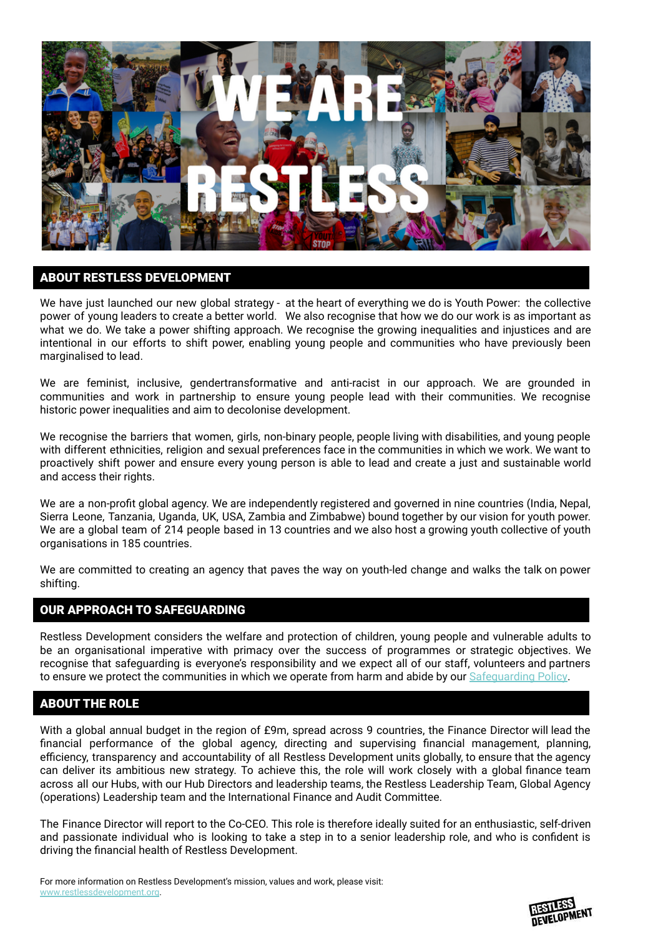

# ABOUT RESTLESS DEVELOPMENT

We have just launched our new global strategy - at the heart of everything we do is Youth Power: the collective power of young leaders to create a better world. We also recognise that how we do our work is as important as what we do. We take a power shifting approach. We recognise the growing inequalities and injustices and are intentional in our efforts to shift power, enabling young people and communities who have previously been marginalised to lead.

We are feminist, inclusive, gendertransformative and anti-racist in our approach. We are grounded in communities and work in partnership to ensure young people lead with their communities. We recognise historic power inequalities and aim to decolonise development.

We recognise the barriers that women, girls, non-binary people, people living with disabilities, and young people with different ethnicities, religion and sexual preferences face in the communities in which we work. We want to proactively shift power and ensure every young person is able to lead and create a just and sustainable world and access their rights.

We are a non-profit global agency. We are independently registered and governed in nine countries (India, Nepal, Sierra Leone, Tanzania, Uganda, UK, USA, Zambia and Zimbabwe) bound together by our vision for youth power. We are a global team of 214 people based in 13 countries and we also host a growing youth collective of youth organisations in 185 countries.

We are committed to creating an agency that paves the way on youth-led change and walks the talk on power shifting.

## OUR APPROACH TO SAFEGUARDING

Restless Development considers the welfare and protection of children, young people and vulnerable adults to be an organisational imperative with primacy over the success of programmes or strategic objectives. We recognise that safeguarding is everyone's responsibility and we expect all of our staff, volunteers and partners to ensure we protect the communities in which we operate from harm and abide by our [Safeguarding](http://restlessdevelopment.org/file/global-safeguarding-policy-2018-pdf) Policy.

# ABOUT THE ROLE

With a global annual budget in the region of £9m, spread across 9 countries, the Finance Director will lead the financial performance of the global agency, directing and supervising financial management, planning, efficiency, transparency and accountability of all Restless Development units globally, to ensure that the agency can deliver its ambitious new strategy. To achieve this, the role will work closely with a global finance team across all our Hubs, with our Hub Directors and leadership teams, the Restless Leadership Team, Global Agency (operations) Leadership team and the International Finance and Audit Committee.

The Finance Director will report to the Co-CEO. This role is therefore ideally suited for an enthusiastic, self-driven and passionate individual who is looking to take a step in to a senior leadership role, and who is confident is driving the financial health of Restless Development.

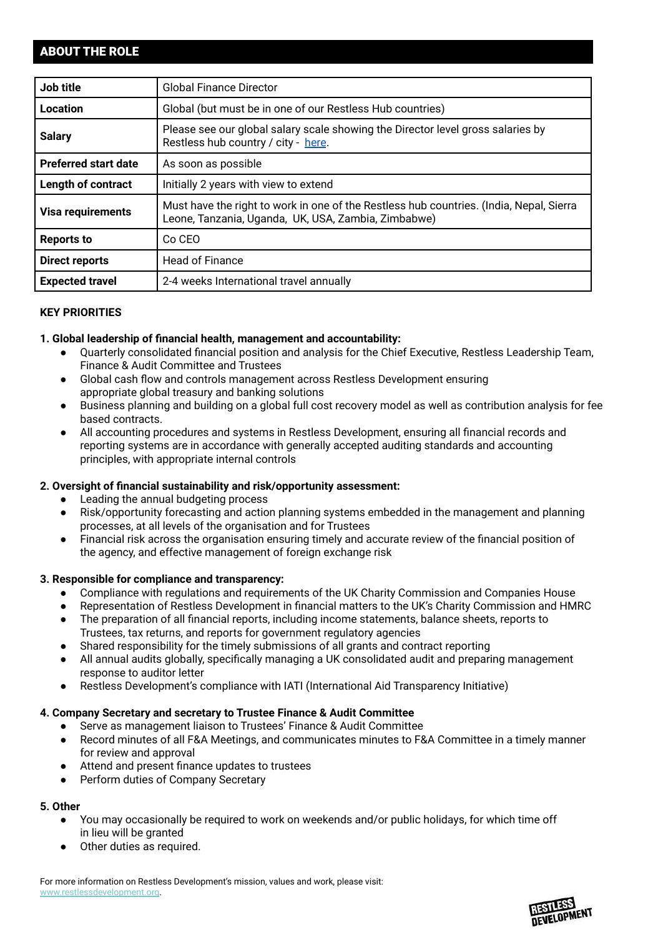# ABOUT THE ROLE

| Job title                   | <b>Global Finance Director</b>                                                                                                                 |  |
|-----------------------------|------------------------------------------------------------------------------------------------------------------------------------------------|--|
| Location                    | Global (but must be in one of our Restless Hub countries)                                                                                      |  |
| <b>Salary</b>               | Please see our global salary scale showing the Director level gross salaries by<br>Restless hub country / city - here.                         |  |
| <b>Preferred start date</b> | As soon as possible                                                                                                                            |  |
| <b>Length of contract</b>   | Initially 2 years with view to extend                                                                                                          |  |
| <b>Visa requirements</b>    | Must have the right to work in one of the Restless hub countries. (India, Nepal, Sierra<br>Leone, Tanzania, Uganda, UK, USA, Zambia, Zimbabwe) |  |
| <b>Reports to</b>           | Co CEO                                                                                                                                         |  |
| <b>Direct reports</b>       | <b>Head of Finance</b>                                                                                                                         |  |
| <b>Expected travel</b>      | 2-4 weeks International travel annually                                                                                                        |  |

# **KEY PRIORITIES**

## **1. Global leadership of financial health, management and accountability:**

- Quarterly consolidated financial position and analysis for the Chief Executive, Restless Leadership Team, Finance & Audit Committee and Trustees
- Global cash flow and controls management across Restless Development ensuring appropriate global treasury and banking solutions
- Business planning and building on a global full cost recovery model as well as contribution analysis for fee based contracts.
- All accounting procedures and systems in Restless Development, ensuring all financial records and reporting systems are in accordance with generally accepted auditing standards and accounting principles, with appropriate internal controls

## **2. Oversight of financial sustainability and risk/opportunity assessment:**

- Leading the annual budgeting process
- Risk/opportunity forecasting and action planning systems embedded in the management and planning processes, at all levels of the organisation and for Trustees
- Financial risk across the organisation ensuring timely and accurate review of the financial position of the agency, and effective management of foreign exchange risk

## **3. Responsible for compliance and transparency:**

- Compliance with regulations and requirements of the UK Charity Commission and Companies House
- Representation of Restless Development in financial matters to the UK's Charity Commission and HMRC
- The preparation of all financial reports, including income statements, balance sheets, reports to Trustees, tax returns, and reports for government regulatory agencies
- Shared responsibility for the timely submissions of all grants and contract reporting
- All annual audits globally, specifically managing a UK consolidated audit and preparing management response to auditor letter
- Restless Development's compliance with IATI (International Aid Transparency Initiative)

## **4. Company Secretary and secretary to Trustee Finance & Audit Committee**

- Serve as management liaison to Trustees' Finance & Audit Committee
- Record minutes of all F&A Meetings, and communicates minutes to F&A Committee in a timely manner for review and approval
- Attend and present finance updates to trustees
- Perform duties of Company Secretary

# **5. Other**

- You may occasionally be required to work on weekends and/or public holidays, for which time off in lieu will be granted
- Other duties as required.

For more information on Restless Development's mission, values and work, please visit: [www.restlessdevelopment.org](http://www.restlessdevelopment.org).

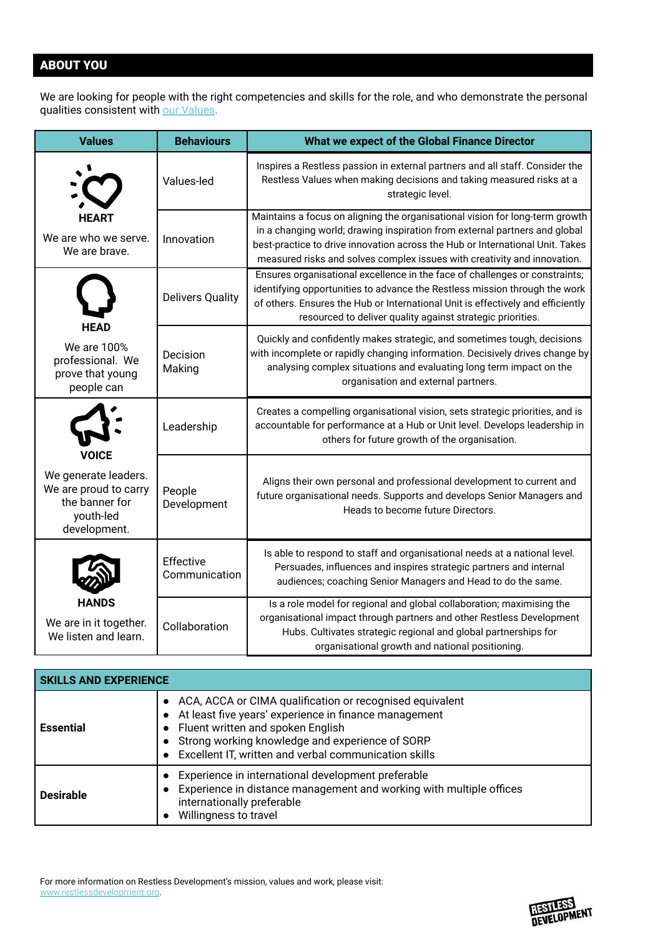# ABOUT YOU

We are looking for people with the right competencies and skills for the role, and who demonstrate the personal qualities consistent with our [Values](http://restlessdevelopment.org/our-values).

| <b>Values</b>                                                                                | <b>Behaviours</b>          | What we expect of the Global Finance Director                                                                                                                                                                                                                                                                           |
|----------------------------------------------------------------------------------------------|----------------------------|-------------------------------------------------------------------------------------------------------------------------------------------------------------------------------------------------------------------------------------------------------------------------------------------------------------------------|
|                                                                                              | Values-led                 | Inspires a Restless passion in external partners and all staff. Consider the<br>Restless Values when making decisions and taking measured risks at a<br>strategic level.                                                                                                                                                |
| We are who we serve.<br>We are brave.                                                        | Innovation                 | Maintains a focus on aligning the organisational vision for long-term growth<br>in a changing world; drawing inspiration from external partners and global<br>best-practice to drive innovation across the Hub or International Unit. Takes<br>measured risks and solves complex issues with creativity and innovation. |
|                                                                                              | <b>Delivers Quality</b>    | Ensures organisational excellence in the face of challenges or constraints;<br>identifying opportunities to advance the Restless mission through the work<br>of others. Ensures the Hub or International Unit is effectively and efficiently<br>resourced to deliver quality against strategic priorities.              |
| <b>HEAD</b><br>We are 100%<br>professional. We<br>prove that young<br>people can             | Decision<br>Making         | Quickly and confidently makes strategic, and sometimes tough, decisions<br>with incomplete or rapidly changing information. Decisively drives change by<br>analysing complex situations and evaluating long term impact on the<br>organisation and external partners.                                                   |
| <b>VOICE</b>                                                                                 | Leadership                 | Creates a compelling organisational vision, sets strategic priorities, and is<br>accountable for performance at a Hub or Unit level. Develops leadership in<br>others for future growth of the organisation.                                                                                                            |
| We generate leaders.<br>We are proud to carry<br>the banner for<br>youth-led<br>development. | People<br>Development      | Aligns their own personal and professional development to current and<br>future organisational needs. Supports and develops Senior Managers and<br>Heads to become future Directors.                                                                                                                                    |
|                                                                                              | Effective<br>Communication | Is able to respond to staff and organisational needs at a national level.<br>Persuades, influences and inspires strategic partners and internal<br>audiences; coaching Senior Managers and Head to do the same.                                                                                                         |
| HANDS<br>We are in it together.<br>We listen and learn.                                      | Collaboration              | Is a role model for regional and global collaboration; maximising the<br>organisational impact through partners and other Restless Development<br>Hubs. Cultivates strategic regional and global partnerships for<br>organisational growth and national positioning.                                                    |

| <b>SKILLS AND EXPERIENCE</b> |                                                                                                                                                                                                                                                                        |  |
|------------------------------|------------------------------------------------------------------------------------------------------------------------------------------------------------------------------------------------------------------------------------------------------------------------|--|
| <b>Essential</b>             | • ACA, ACCA or CIMA qualification or recognised equivalent<br>At least five years' experience in finance management<br>Fluent written and spoken English<br>Strong working knowledge and experience of SORP<br>• Excellent IT, written and verbal communication skills |  |
| <b>Desirable</b>             | Experience in international development preferable<br>Experience in distance management and working with multiple offices<br>internationally preferable<br>Willingness to travel                                                                                       |  |